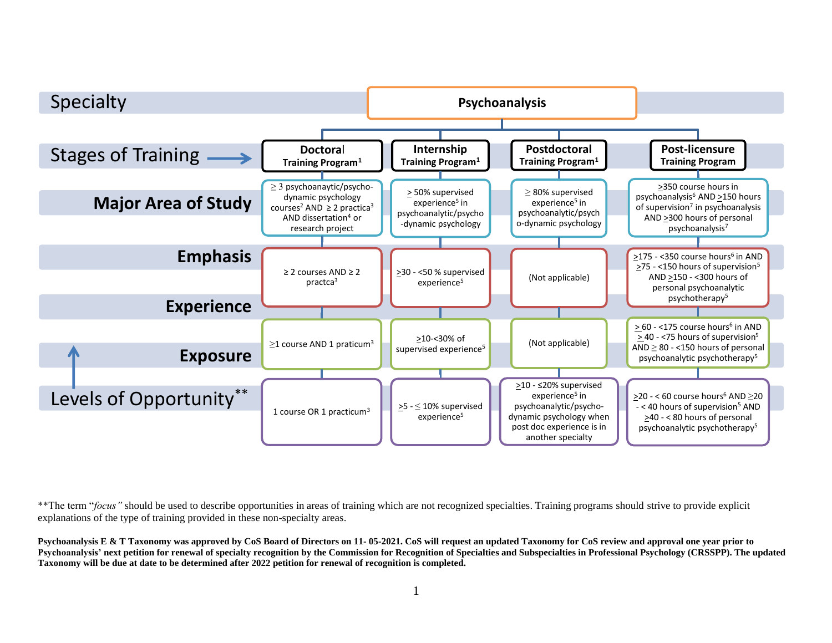

\*\*The term "*focus*" should be used to describe opportunities in areas of training which are not recognized specialties. Training programs should strive to provide explicit explanations of the type of training provided in these non-specialty areas.

**Psychoanalysis E & T Taxonomy was approved by CoS Board of Directors on 11- 05-2021. CoS will request an updated Taxonomy for CoS review and approval one year prior to Psychoanalysis' next petition for renewal of specialty recognition by the Commission for Recognition of Specialties and Subspecialties in Professional Psychology (CRSSPP). The updated Taxonomy will be due at date to be determined after 2022 petition for renewal of recognition is completed.**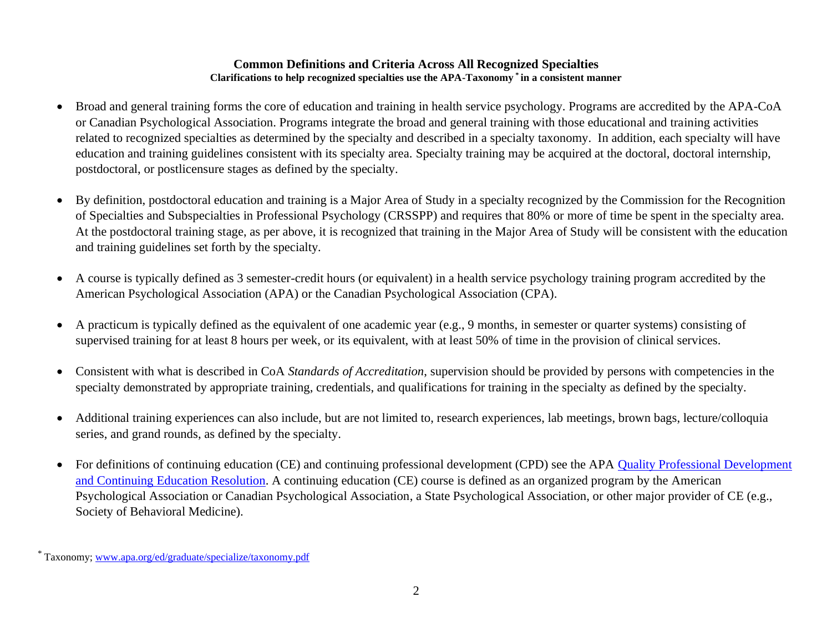### **Common Definitions and Criteria Across All Recognized Specialties Clarifications to help recognized specialties use the APA-Taxonomy \* in a consistent manner**

- Broad and general training forms the core of education and training in health service psychology. Programs are accredited by the APA-CoA or Canadian Psychological Association. Programs integrate the broad and general training with those educational and training activities related to recognized specialties as determined by the specialty and described in a specialty taxonomy. In addition, each specialty will have education and training guidelines consistent with its specialty area. Specialty training may be acquired at the doctoral, doctoral internship, postdoctoral, or postlicensure stages as defined by the specialty.
- By definition, postdoctoral education and training is a Major Area of Study in a specialty recognized by the Commission for the Recognition of Specialties and Subspecialties in Professional Psychology (CRSSPP) and requires that 80% or more of time be spent in the specialty area. At the postdoctoral training stage, as per above, it is recognized that training in the Major Area of Study will be consistent with the education and training guidelines set forth by the specialty*.*
- A course is typically defined as 3 semester-credit hours (or equivalent) in a health service psychology training program accredited by the American Psychological Association (APA) or the Canadian Psychological Association (CPA).
- A practicum is typically defined as the equivalent of one academic year (e.g., 9 months, in semester or quarter systems) consisting of supervised training for at least 8 hours per week, or its equivalent, with at least 50% of time in the provision of clinical services.
- Consistent with what is described in CoA *Standards of Accreditation*, supervision should be provided by persons with competencies in the specialty demonstrated by appropriate training, credentials, and qualifications for training in the specialty as defined by the specialty.
- Additional training experiences can also include, but are not limited to, research experiences, lab meetings, brown bags, lecture/colloquia series, and grand rounds, as defined by the specialty.
- For definitions of continuing education (CE) and continuing professional development (CPD) see the APA Quality Professional Development [and Continuing Education Resolution.](about:blank) A continuing education (CE) course is defined as an organized program by the American Psychological Association or Canadian Psychological Association, a State Psychological Association, or other major provider of CE (e.g., Society of Behavioral Medicine).

<sup>\*</sup> Taxonomy[; www.apa.org/ed/graduate/specialize/taxonomy.pdf](about:blank)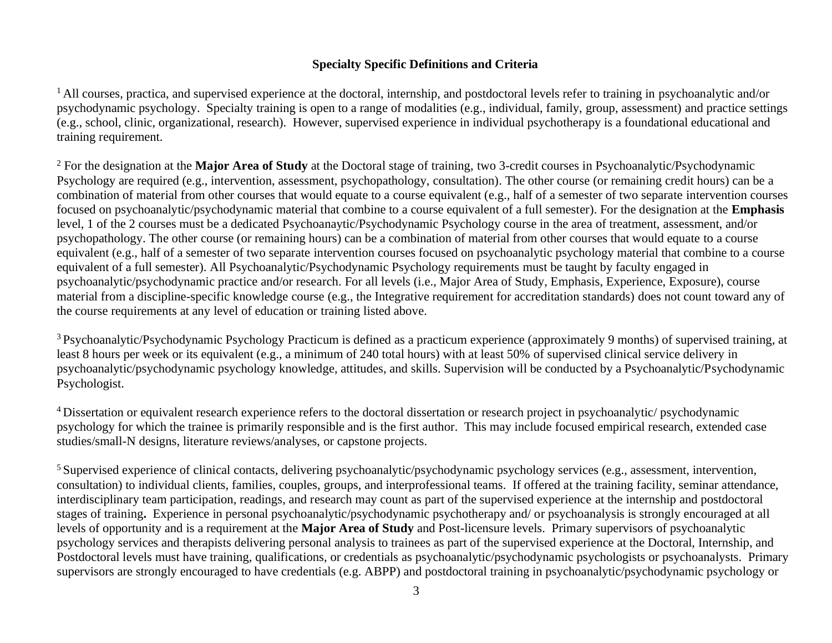# **Specialty Specific Definitions and Criteria**

<sup>1</sup> All courses, practica, and supervised experience at the doctoral, internship, and postdoctoral levels refer to training in psychoanalytic and/or psychodynamic psychology. Specialty training is open to a range of modalities (e.g., individual, family, group, assessment) and practice settings (e.g., school, clinic, organizational, research). However, supervised experience in individual psychotherapy is a foundational educational and training requirement.

<sup>2</sup> For the designation at the **Major Area of Study** at the Doctoral stage of training, two 3-credit courses in Psychoanalytic/Psychodynamic Psychology are required (e.g., intervention, assessment, psychopathology, consultation). The other course (or remaining credit hours) can be a combination of material from other courses that would equate to a course equivalent (e.g., half of a semester of two separate intervention courses focused on psychoanalytic/psychodynamic material that combine to a course equivalent of a full semester). For the designation at the **Emphasis** level, 1 of the 2 courses must be a dedicated Psychoanaytic/Psychodynamic Psychology course in the area of treatment, assessment, and/or psychopathology. The other course (or remaining hours) can be a combination of material from other courses that would equate to a course equivalent (e.g., half of a semester of two separate intervention courses focused on psychoanalytic psychology material that combine to a course equivalent of a full semester). All Psychoanalytic/Psychodynamic Psychology requirements must be taught by faculty engaged in psychoanalytic/psychodynamic practice and/or research. For all levels (i.e., Major Area of Study, Emphasis, Experience, Exposure), course material from a discipline-specific knowledge course (e.g., the Integrative requirement for accreditation standards) does not count toward any of the course requirements at any level of education or training listed above.

<sup>3</sup> Psychoanalytic/Psychodynamic Psychology Practicum is defined as a practicum experience (approximately 9 months) of supervised training, at least 8 hours per week or its equivalent (e.g., a minimum of 240 total hours) with at least 50% of supervised clinical service delivery in psychoanalytic/psychodynamic psychology knowledge, attitudes, and skills. Supervision will be conducted by a Psychoanalytic/Psychodynamic Psychologist.

<sup>4</sup>Dissertation or equivalent research experience refers to the doctoral dissertation or research project in psychoanalytic/ psychodynamic psychology for which the trainee is primarily responsible and is the first author. This may include focused empirical research, extended case studies/small-N designs, literature reviews/analyses, or capstone projects.

<sup>5</sup> Supervised experience of clinical contacts, delivering psychoanalytic/psychodynamic psychology services (e.g., assessment, intervention, consultation) to individual clients, families, couples, groups, and interprofessional teams. If offered at the training facility, seminar attendance, interdisciplinary team participation, readings, and research may count as part of the supervised experience at the internship and postdoctoral stages of training**.** Experience in personal psychoanalytic/psychodynamic psychotherapy and/ or psychoanalysis is strongly encouraged at all levels of opportunity and is a requirement at the **Major Area of Study** and Post-licensure levels. Primary supervisors of psychoanalytic psychology services and therapists delivering personal analysis to trainees as part of the supervised experience at the Doctoral, Internship, and Postdoctoral levels must have training, qualifications, or credentials as psychoanalytic/psychodynamic psychologists or psychoanalysts. Primary supervisors are strongly encouraged to have credentials (e.g. ABPP) and postdoctoral training in psychoanalytic/psychodynamic psychology or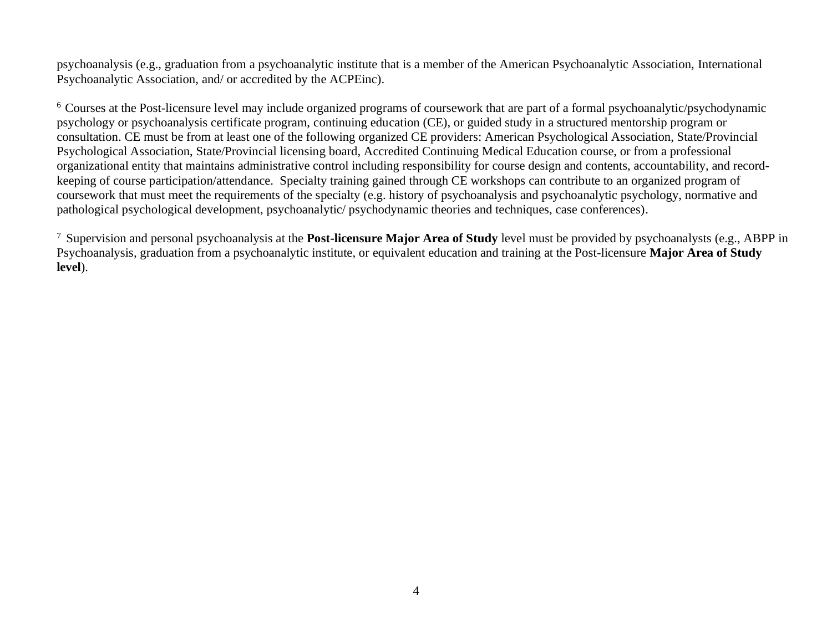psychoanalysis (e.g., graduation from a psychoanalytic institute that is a member of the American Psychoanalytic Association, International Psychoanalytic Association, and/ or accredited by the ACPEinc).

<sup>6</sup> Courses at the Post-licensure level may include organized programs of coursework that are part of a formal psychoanalytic/psychodynamic psychology or psychoanalysis certificate program, continuing education (CE), or guided study in a structured mentorship program or consultation. CE must be from at least one of the following organized CE providers: American Psychological Association, State/Provincial Psychological Association, State/Provincial licensing board, Accredited Continuing Medical Education course, or from a professional organizational entity that maintains administrative control including responsibility for course design and contents, accountability, and recordkeeping of course participation/attendance. Specialty training gained through CE workshops can contribute to an organized program of coursework that must meet the requirements of the specialty (e.g. history of psychoanalysis and psychoanalytic psychology, normative and pathological psychological development, psychoanalytic/ psychodynamic theories and techniques, case conferences).

<sup>7</sup>Supervision and personal psychoanalysis at the **Post-licensure Major Area of Study** level must be provided by psychoanalysts (e.g., ABPP in Psychoanalysis, graduation from a psychoanalytic institute, or equivalent education and training at the Post-licensure **Major Area of Study level**).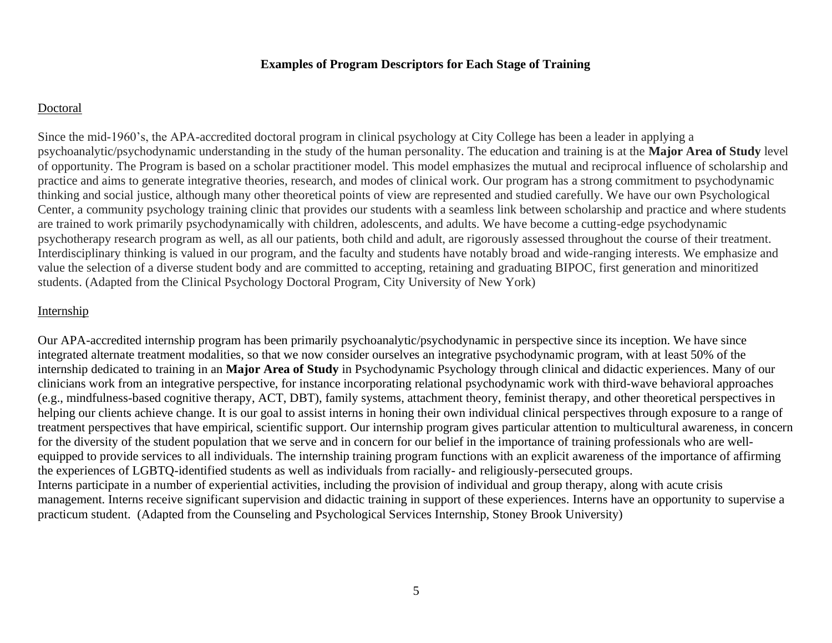### **Examples of Program Descriptors for Each Stage of Training**

#### Doctoral

Since the mid-1960's, the APA-accredited doctoral program in clinical psychology at City College has been a leader in applying a psychoanalytic/psychodynamic understanding in the study of the human personality. The education and training is at the **Major Area of Study** level of opportunity. The Program is based on a scholar practitioner model. This model emphasizes the mutual and reciprocal influence of scholarship and practice and aims to generate integrative theories, research, and modes of clinical work. Our program has a strong commitment to psychodynamic thinking and social justice, although many other theoretical points of view are represented and studied carefully. We have our own Psychological Center, a community psychology training clinic that provides our students with a seamless link between scholarship and practice and where students are trained to work primarily psychodynamically with children, adolescents, and adults. We have become a cutting-edge psychodynamic psychotherapy research program as well, as all our patients, both child and adult, are rigorously assessed throughout the course of their treatment. Interdisciplinary thinking is valued in our program, and the faculty and students have notably broad and wide-ranging interests. We emphasize and value the selection of a diverse student body and are committed to accepting, retaining and graduating BIPOC, first generation and minoritized students. (Adapted from the Clinical Psychology Doctoral Program, City University of New York)

### Internship

Our APA-accredited internship program has been primarily psychoanalytic/psychodynamic in perspective since its inception. We have since integrated alternate treatment modalities, so that we now consider ourselves an integrative psychodynamic program, with at least 50% of the internship dedicated to training in an **Major Area of Study** in Psychodynamic Psychology through clinical and didactic experiences. Many of our clinicians work from an integrative perspective, for instance incorporating relational psychodynamic work with third-wave behavioral approaches (e.g., mindfulness-based cognitive therapy, ACT, DBT), family systems, attachment theory, feminist therapy, and other theoretical perspectives in helping our clients achieve change. It is our goal to assist interns in honing their own individual clinical perspectives through exposure to a range of treatment perspectives that have empirical, scientific support. Our internship program gives particular attention to multicultural awareness, in concern for the diversity of the student population that we serve and in concern for our belief in the importance of training professionals who are wellequipped to provide services to all individuals. The internship training program functions with an explicit awareness of the importance of affirming the experiences of LGBTQ-identified students as well as individuals from racially- and religiously-persecuted groups. Interns participate in a number of experiential activities, including the provision of individual and group therapy, along with acute crisis management. Interns receive significant supervision and didactic training in support of these experiences. Interns have an opportunity to supervise a practicum student. (Adapted from the Counseling and Psychological Services Internship, Stoney Brook University)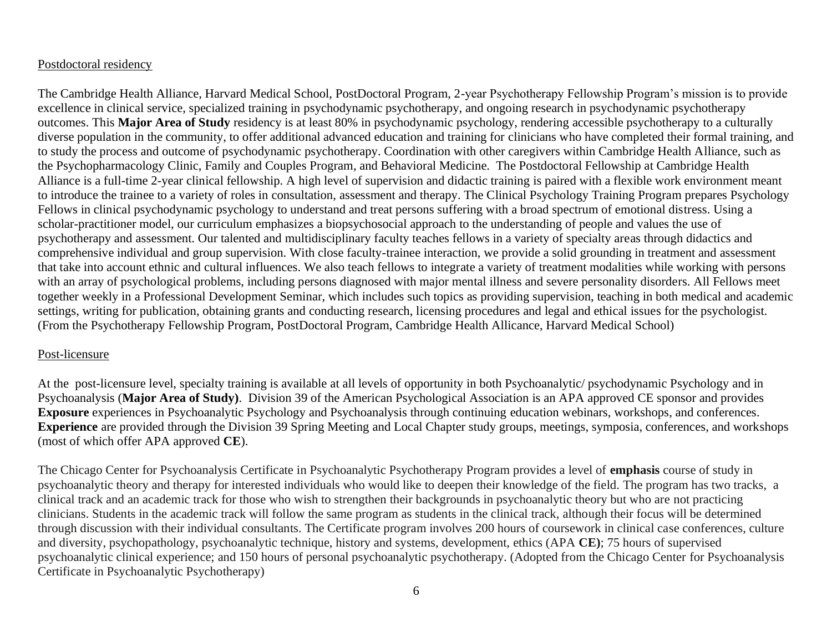## Postdoctoral residency

The Cambridge Health Alliance, Harvard Medical School, PostDoctoral Program, 2-year Psychotherapy Fellowship Program's mission is to provide excellence in clinical service, specialized training in psychodynamic psychotherapy, and ongoing research in psychodynamic psychotherapy outcomes. This **Major Area of Study** residency is at least 80% in psychodynamic psychology, rendering accessible psychotherapy to a culturally diverse population in the community, to offer additional advanced education and training for clinicians who have completed their formal training, and to study the process and outcome of psychodynamic psychotherapy. Coordination with other caregivers within Cambridge Health Alliance, such as the Psychopharmacology Clinic, Family and Couples Program, and Behavioral Medicine. The Postdoctoral Fellowship at Cambridge Health Alliance is a full-time 2-year clinical fellowship. A high level of supervision and didactic training is paired with a flexible work environment meant to introduce the trainee to a variety of roles in consultation, assessment and therapy. The Clinical Psychology Training Program prepares Psychology Fellows in clinical psychodynamic psychology to understand and treat persons suffering with a broad spectrum of emotional distress. Using a scholar-practitioner model, our curriculum emphasizes a biopsychosocial approach to the understanding of people and values the use of psychotherapy and assessment. Our talented and multidisciplinary faculty teaches fellows in a variety of specialty areas through didactics and comprehensive individual and group supervision. With close faculty-trainee interaction, we provide a solid grounding in treatment and assessment that take into account ethnic and cultural influences. We also teach fellows to integrate a variety of treatment modalities while working with persons with an array of psychological problems, including persons diagnosed with major mental illness and severe personality disorders. All Fellows meet together weekly in a Professional Development Seminar, which includes such topics as providing supervision, teaching in both medical and academic settings, writing for publication, obtaining grants and conducting research, licensing procedures and legal and ethical issues for the psychologist. (From the Psychotherapy Fellowship Program, PostDoctoral Program, Cambridge Health Allicance, Harvard Medical School)

### Post-licensure

At the post-licensure level, specialty training is available at all levels of opportunity in both Psychoanalytic/ psychodynamic Psychology and in Psychoanalysis (**Major Area of Study)**. Division 39 of the American Psychological Association is an APA approved CE sponsor and provides **Exposure** experiences in Psychoanalytic Psychology and Psychoanalysis through continuing education webinars, workshops, and conferences. **Experience** are provided through the Division 39 Spring Meeting and Local Chapter study groups, meetings, symposia, conferences, and workshops (most of which offer APA approved **CE**).

The Chicago Center for Psychoanalysis Certificate in Psychoanalytic Psychotherapy Program provides a level of **emphasis** course of study in psychoanalytic theory and therapy for interested individuals who would like to deepen their knowledge of the field. The program has two tracks, a clinical track and an academic track for those who wish to strengthen their backgrounds in psychoanalytic theory but who are not practicing clinicians. Students in the academic track will follow the same program as students in the clinical track, although their focus will be determined through discussion with their individual consultants. The Certificate program involves 200 hours of coursework in clinical case conferences, culture and diversity, psychopathology, psychoanalytic technique, history and systems, development, ethics (APA **CE)**; 75 hours of supervised psychoanalytic clinical experience; and 150 hours of personal psychoanalytic psychotherapy. (Adopted from the Chicago Center for Psychoanalysis Certificate in Psychoanalytic Psychotherapy)